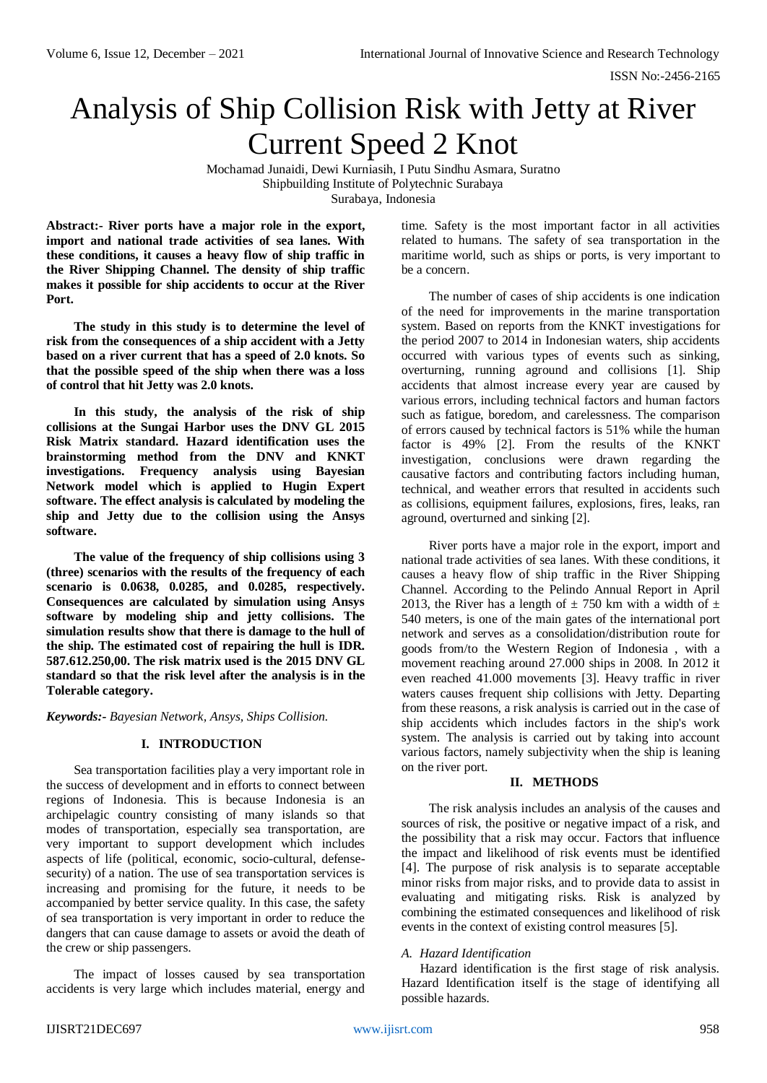# Analysis of Ship Collision Risk with Jetty at River Current Speed 2 Knot

Mochamad Junaidi, Dewi Kurniasih, I Putu Sindhu Asmara, Suratno Shipbuilding Institute of Polytechnic Surabaya Surabaya, Indonesia

**Abstract:- River ports have a major role in the export, import and national trade activities of sea lanes. With these conditions, it causes a heavy flow of ship traffic in the River Shipping Channel. The density of ship traffic makes it possible for ship accidents to occur at the River Port.**

**The study in this study is to determine the level of risk from the consequences of a ship accident with a Jetty based on a river current that has a speed of 2.0 knots. So that the possible speed of the ship when there was a loss of control that hit Jetty was 2.0 knots.**

**In this study, the analysis of the risk of ship collisions at the Sungai Harbor uses the DNV GL 2015 Risk Matrix standard. Hazard identification uses the brainstorming method from the DNV and KNKT investigations. Frequency analysis using Bayesian Network model which is applied to Hugin Expert software. The effect analysis is calculated by modeling the ship and Jetty due to the collision using the Ansys software.**

**The value of the frequency of ship collisions using 3 (three) scenarios with the results of the frequency of each scenario is 0.0638, 0.0285, and 0.0285, respectively. Consequences are calculated by simulation using Ansys software by modeling ship and jetty collisions. The simulation results show that there is damage to the hull of the ship. The estimated cost of repairing the hull is IDR. 587.612.250,00. The risk matrix used is the 2015 DNV GL standard so that the risk level after the analysis is in the Tolerable category.**

*Keywords:- Bayesian Network, Ansys, Ships Collision.*

# **I. INTRODUCTION**

Sea transportation facilities play a very important role in the success of development and in efforts to connect between regions of Indonesia. This is because Indonesia is an archipelagic country consisting of many islands so that modes of transportation, especially sea transportation, are very important to support development which includes aspects of life (political, economic, socio-cultural, defensesecurity) of a nation. The use of sea transportation services is increasing and promising for the future, it needs to be accompanied by better service quality. In this case, the safety of sea transportation is very important in order to reduce the dangers that can cause damage to assets or avoid the death of the crew or ship passengers.

The impact of losses caused by sea transportation accidents is very large which includes material, energy and

time. Safety is the most important factor in all activities related to humans. The safety of sea transportation in the maritime world, such as ships or ports, is very important to be a concern.

The number of cases of ship accidents is one indication of the need for improvements in the marine transportation system. Based on reports from the KNKT investigations for the period 2007 to 2014 in Indonesian waters, ship accidents occurred with various types of events such as sinking, overturning, running aground and collisions [1]. Ship accidents that almost increase every year are caused by various errors, including technical factors and human factors such as fatigue, boredom, and carelessness. The comparison of errors caused by technical factors is 51% while the human factor is 49% [2]. From the results of the KNKT investigation, conclusions were drawn regarding the causative factors and contributing factors including human, technical, and weather errors that resulted in accidents such as collisions, equipment failures, explosions, fires, leaks, ran aground, overturned and sinking [2].

River ports have a major role in the export, import and national trade activities of sea lanes. With these conditions, it causes a heavy flow of ship traffic in the River Shipping Channel. According to the Pelindo Annual Report in April 2013, the River has a length of  $\pm$  750 km with a width of  $\pm$ 540 meters, is one of the main gates of the international port network and serves as a consolidation/distribution route for goods from/to the Western Region of Indonesia , with a movement reaching around 27.000 ships in 2008. In 2012 it even reached 41.000 movements [3]. Heavy traffic in river waters causes frequent ship collisions with Jetty. Departing from these reasons, a risk analysis is carried out in the case of ship accidents which includes factors in the ship's work system. The analysis is carried out by taking into account various factors, namely subjectivity when the ship is leaning on the river port.

## **II. METHODS**

The risk analysis includes an analysis of the causes and sources of risk, the positive or negative impact of a risk, and the possibility that a risk may occur. Factors that influence the impact and likelihood of risk events must be identified [4]. The purpose of risk analysis is to separate acceptable minor risks from major risks, and to provide data to assist in evaluating and mitigating risks. Risk is analyzed by combining the estimated consequences and likelihood of risk events in the context of existing control measures [5].

## *A. Hazard Identification*

Hazard identification is the first stage of risk analysis. Hazard Identification itself is the stage of identifying all possible hazards.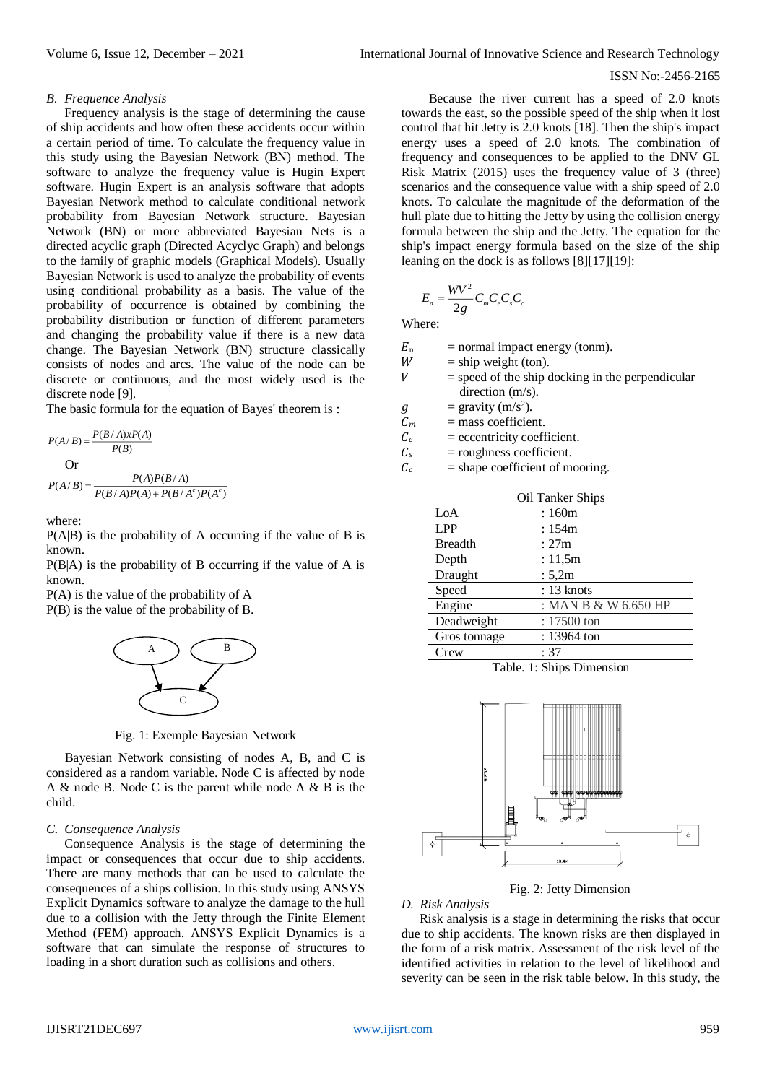#### *B. Frequence Analysis*

Frequency analysis is the stage of determining the cause of ship accidents and how often these accidents occur within a certain period of time. To calculate the frequency value in this study using the Bayesian Network (BN) method. The software to analyze the frequency value is Hugin Expert software. Hugin Expert is an analysis software that adopts Bayesian Network method to calculate conditional network probability from Bayesian Network structure. Bayesian Network (BN) or more abbreviated Bayesian Nets is a directed acyclic graph (Directed Acyclyc Graph) and belongs to the family of graphic models (Graphical Models). Usually Bayesian Network is used to analyze the probability of events using conditional probability as a basis. The value of the probability of occurrence is obtained by combining the probability distribution or function of different parameters and changing the probability value if there is a new data change. The Bayesian Network (BN) structure classically consists of nodes and arcs. The value of the node can be discrete or continuous, and the most widely used is the discrete node [9].

The basic formula for the equation of Bayes' theorem is :

$$
P(A/B) = \frac{P(B/A)xP(A)}{P(B)}
$$
  
Or  

$$
P(A/B) = \frac{P(A)P(B/A)}{P(B/A)P(A) + P(B/A^{c})P(A^{c})}
$$

where:

P(A|B) is the probability of A occurring if the value of B is known.

P(B|A) is the probability of B occurring if the value of A is known.

P(A) is the value of the probability of A P(B) is the value of the probability of B.



Fig. 1: Exemple Bayesian Network

Bayesian Network consisting of nodes A, B, and C is considered as a random variable. Node C is affected by node A & node B. Node C is the parent while node A  $\&$  B is the child.

#### *C. Consequence Analysis*

Consequence Analysis is the stage of determining the impact or consequences that occur due to ship accidents. There are many methods that can be used to calculate the consequences of a ships collision. In this study using ANSYS Explicit Dynamics software to analyze the damage to the hull due to a collision with the Jetty through the Finite Element Method (FEM) approach. ANSYS Explicit Dynamics is a software that can simulate the response of structures to loading in a short duration such as collisions and others.

Because the river current has a speed of 2.0 knots towards the east, so the possible speed of the ship when it lost control that hit Jetty is 2.0 knots [18]. Then the ship's impact energy uses a speed of 2.0 knots. The combination of frequency and consequences to be applied to the DNV GL Risk Matrix (2015) uses the frequency value of 3 (three) scenarios and the consequence value with a ship speed of 2.0 knots. To calculate the magnitude of the deformation of the hull plate due to hitting the Jetty by using the collision energy formula between the ship and the Jetty. The equation for the ship's impact energy formula based on the size of the ship leaning on the dock is as follows [8][17][19]:

$$
E_n = \frac{WV^2}{2g} C_m C_e C_s C_c
$$

Where:

 $E_n$  = normal impact energy (tonm).

 $W =$ ship weight (ton).<br>  $V =$ speed of the ship of

 = speed of the ship docking in the perpendicular direction (m/s).

 $g =$  gravity (m/s<sup>2</sup>).

 $C_m$  = mass coefficient.

 $C_e$  = eccentricity coefficient.

 $C_s$  = roughness coefficient.

 $C_c$  = shape coefficient of mooring.

| Oil Tanker Ships |                      |  |  |  |  |
|------------------|----------------------|--|--|--|--|
| LoA              | : 160m               |  |  |  |  |
| <b>LPP</b>       | :154m                |  |  |  |  |
| <b>Breadth</b>   | :27m                 |  |  |  |  |
| Depth            | : $11,5m$            |  |  |  |  |
| Draught          | : $5,2m$             |  |  |  |  |
| Speed            | $: 13$ knots         |  |  |  |  |
| Engine           | : MAN B & W 6.650 HP |  |  |  |  |
| Deadweight       | : 17500 ton          |  |  |  |  |
| Gros tonnage     | : 13964 ton          |  |  |  |  |
| Crew             | : 37                 |  |  |  |  |

Table. 1: Ships Dimension



Fig. 2: Jetty Dimension

#### *D. Risk Analysis*

Risk analysis is a stage in determining the risks that occur due to ship accidents. The known risks are then displayed in the form of a risk matrix. Assessment of the risk level of the identified activities in relation to the level of likelihood and severity can be seen in the risk table below. In this study, the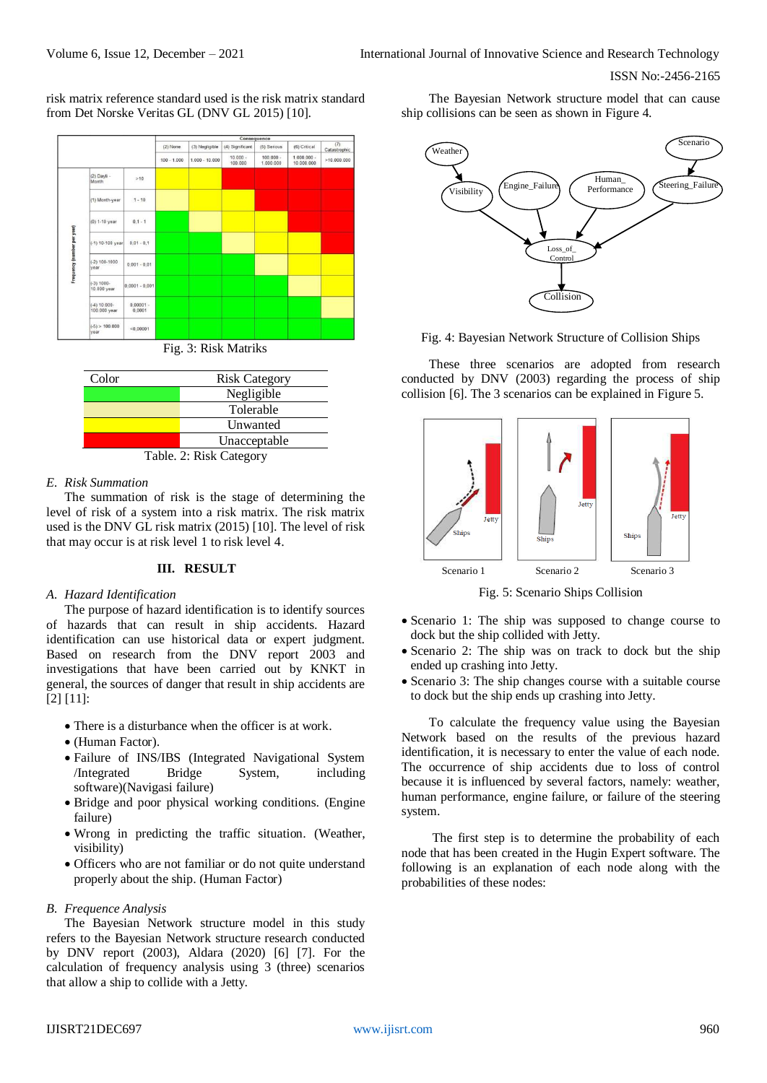risk matrix reference standard used is the risk matrix standard from Det Norske Veritas GL (DNV GL 2015) [10].





#### *E. Risk Summation*

The summation of risk is the stage of determining the level of risk of a system into a risk matrix. The risk matrix used is the DNV GL risk matrix (2015) [10]. The level of risk that may occur is at risk level 1 to risk level 4.

#### **III. RESULT**

#### *A. Hazard Identification*

The purpose of hazard identification is to identify sources of hazards that can result in ship accidents. Hazard identification can use historical data or expert judgment. Based on research from the DNV report 2003 and investigations that have been carried out by KNKT in general, the sources of danger that result in ship accidents are [2] [11]:

- There is a disturbance when the officer is at work.
- (Human Factor).
- Failure of INS/IBS (Integrated Navigational System /Integrated Bridge System, including software)(Navigasi failure)
- Bridge and poor physical working conditions. (Engine failure)
- Wrong in predicting the traffic situation. (Weather, visibility)
- Officers who are not familiar or do not quite understand properly about the ship. (Human Factor)

#### *B. Frequence Analysis*

The Bayesian Network structure model in this study refers to the Bayesian Network structure research conducted by DNV report (2003), Aldara (2020) [6] [7]. For the calculation of frequency analysis using 3 (three) scenarios that allow a ship to collide with a Jetty.

The Bayesian Network structure model that can cause ship collisions can be seen as shown in Figure 4.



Fig. 4: Bayesian Network Structure of Collision Ships

These three scenarios are adopted from research conducted by DNV (2003) regarding the process of ship collision [6]. The 3 scenarios can be explained in Figure 5.



Fig. 5: Scenario Ships Collision

- Scenario 1: The ship was supposed to change course to dock but the ship collided with Jetty.
- Scenario 2: The ship was on track to dock but the ship ended up crashing into Jetty.
- Scenario 3: The ship changes course with a suitable course to dock but the ship ends up crashing into Jetty.

To calculate the frequency value using the Bayesian Network based on the results of the previous hazard identification, it is necessary to enter the value of each node. The occurrence of ship accidents due to loss of control because it is influenced by several factors, namely: weather, human performance, engine failure, or failure of the steering system.

The first step is to determine the probability of each node that has been created in the Hugin Expert software. The following is an explanation of each node along with the probabilities of these nodes: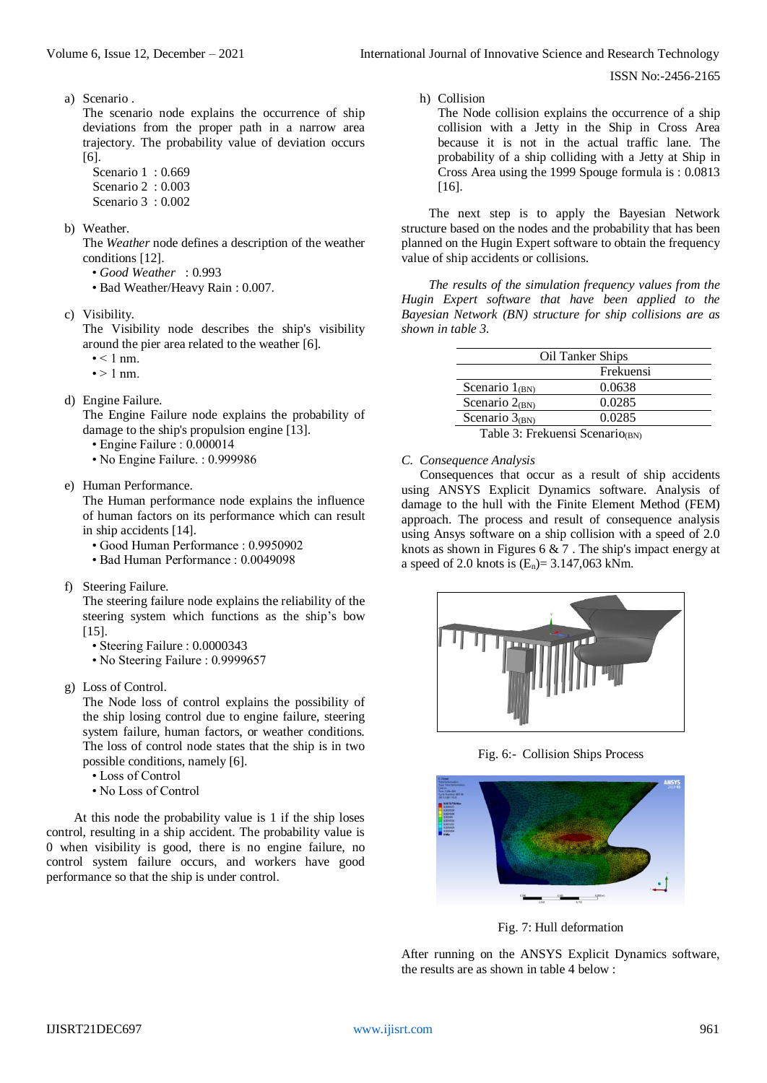a) Scenario .

The scenario node explains the occurrence of ship deviations from the proper path in a narrow area trajectory. The probability value of deviation occurs [6].

- Scenario 1:0.669
- Scenario 2 : 0.003
- Scenario 3 : 0.002
- b) Weather.

The *Weather* node defines a description of the weather conditions [12].

- *Good Weather* : 0.993
- Bad Weather/Heavy Rain : 0.007.
- c) Visibility.

The Visibility node describes the ship's visibility around the pier area related to the weather [6].

- $\bullet$  < 1 nm.
- $\bullet$  > 1 nm.
- d) Engine Failure.

The Engine Failure node explains the probability of damage to the ship's propulsion engine [13].

- Engine Failure : 0.000014
- No Engine Failure. : 0.999986
- e) Human Performance.

The Human performance node explains the influence of human factors on its performance which can result in ship accidents [14].

- Good Human Performance : 0.9950902
- Bad Human Performance : 0.0049098
- f) Steering Failure.

The steering failure node explains the reliability of the steering system which functions as the ship's bow [15].

- Steering Failure : 0.0000343
- No Steering Failure : 0.9999657
- g) Loss of Control.

The Node loss of control explains the possibility of the ship losing control due to engine failure, steering system failure, human factors, or weather conditions. The loss of control node states that the ship is in two possible conditions, namely [6].

- Loss of Control
- No Loss of Control

At this node the probability value is 1 if the ship loses control, resulting in a ship accident. The probability value is 0 when visibility is good, there is no engine failure, no control system failure occurs, and workers have good performance so that the ship is under control.

The Node collision explains the occurrence of a ship collision with a Jetty in the Ship in Cross Area because it is not in the actual traffic lane. The probability of a ship colliding with a Jetty at Ship in Cross Area using the 1999 Spouge formula is : 0.0813 [16].

The next step is to apply the Bayesian Network structure based on the nodes and the probability that has been planned on the Hugin Expert software to obtain the frequency value of ship accidents or collisions.

*The results of the simulation frequency values from the Hugin Expert software that have been applied to the Bayesian Network (BN) structure for ship collisions are as shown in table 3.*

| Oil Tanker Ships    |                |  |  |  |  |
|---------------------|----------------|--|--|--|--|
| Frekuensi           |                |  |  |  |  |
| Scenario $1_{(BN)}$ | 0.0638         |  |  |  |  |
| Scenario $2_{(BN)}$ | 0.0285         |  |  |  |  |
| Scenario $3_{(BN)}$ | 0.0285         |  |  |  |  |
| ------              | $\cdot$ $\sim$ |  |  |  |  |

Table 3: Frekuensi Scenario $_{(BN)}$ 

#### *C. Consequence Analysis*

h) Collision

Consequences that occur as a result of ship accidents using ANSYS Explicit Dynamics software. Analysis of damage to the hull with the Finite Element Method (FEM) approach. The process and result of consequence analysis using Ansys software on a ship collision with a speed of 2.0 knots as shown in Figures 6 & 7 . The ship's impact energy at a speed of 2.0 knots is  $(E_n) = 3.147,063$  kNm.



Fig. 6:- Collision Ships Process



Fig. 7: Hull deformation

After running on the ANSYS Explicit Dynamics software, the results are as shown in table 4 below :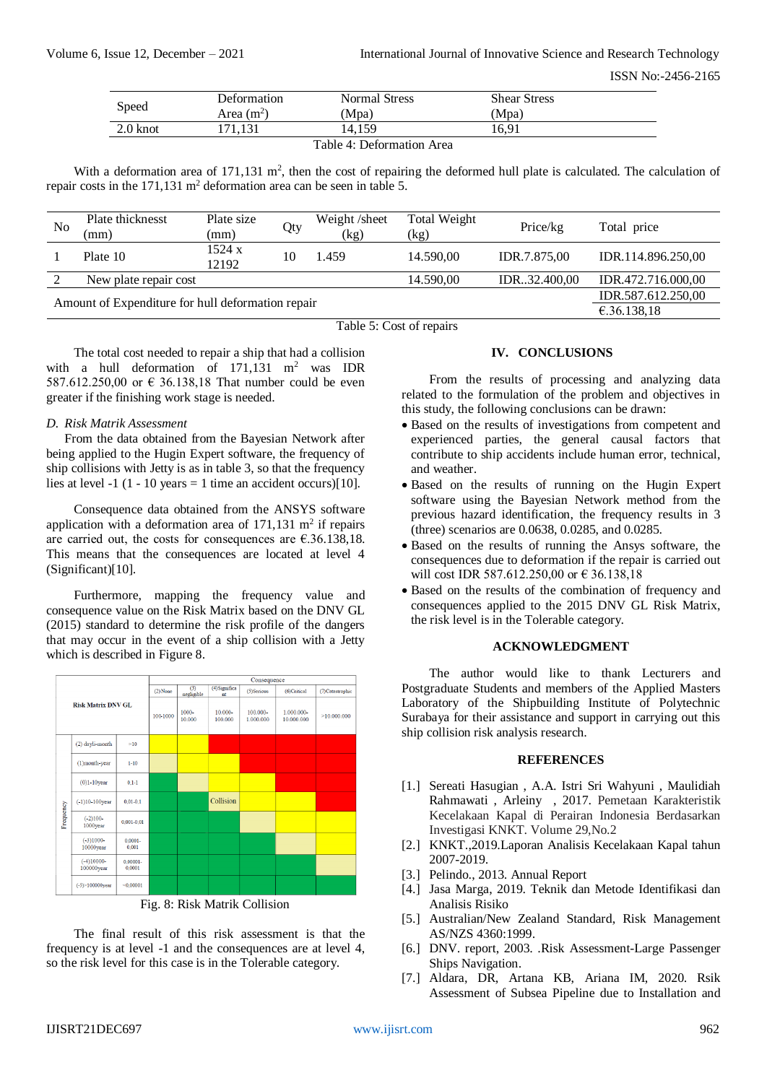| Speed              | Deformation<br>Area $(m^2)$ | Normal Stress<br>Mpa) | <b>Shear Stress</b><br>Mpa) |  |
|--------------------|-----------------------------|-----------------------|-----------------------------|--|
| $2.0 \text{ knot}$ |                             | .4.159                | 16.91                       |  |

Table 4: Deformation Area

With a deformation area of 171,131  $m^2$ , then the cost of repairing the deformed hull plate is calculated. The calculation of repair costs in the  $171,131$  m<sup>2</sup> deformation area can be seen in table 5.

| No                                                | Plate thicknesst<br>(mm) | Plate size<br>(mm) | Qty | Weight/sheet<br>(kg) | Total Weight<br>(kg) | Price/kg      | Total price                       |
|---------------------------------------------------|--------------------------|--------------------|-----|----------------------|----------------------|---------------|-----------------------------------|
|                                                   | Plate 10                 | 1524 x<br>12192    | 10  | 1.459                | 14.590.00            | IDR.7.875,00  | IDR.114.896.250,00                |
|                                                   | New plate repair cost    |                    |     |                      | 14.590,00            | IDR.32.400,00 | IDR.472.716.000,00                |
| Amount of Expenditure for hull deformation repair |                          |                    |     |                      |                      |               | IDR.587.612.250,00<br>€.36.138,18 |

Table 5: Cost of repairs

The total cost needed to repair a ship that had a collision with a hull deformation of  $171,131$  m<sup>2</sup> was IDR 587.612.250,00 or € 36.138,18 That number could be even greater if the finishing work stage is needed.

## *D. Risk Matrik Assessment*

From the data obtained from the Bayesian Network after being applied to the Hugin Expert software, the frequency of ship collisions with Jetty is as in table 3, so that the frequency lies at level  $-1$  (1 - 10 years  $= 1$  time an accident occurs)[10].

Consequence data obtained from the ANSYS software application with a deformation area of  $171,131$  m<sup>2</sup> if repairs are carried out, the costs for consequences are  $\epsilon$ .36.138,18. This means that the consequences are located at level 4 (Significant)[10].

Furthermore, mapping the frequency value and consequence value on the Risk Matrix based on the DNV GL (2015) standard to determine the risk profile of the dangers that may occur in the event of a ship collision with a Jetty which is described in Figure 8.



Fig. 8: Risk Matrik Collision

The final result of this risk assessment is that the frequency is at level -1 and the consequences are at level 4, so the risk level for this case is in the Tolerable category.

# **IV. CONCLUSIONS**

From the results of processing and analyzing data related to the formulation of the problem and objectives in this study, the following conclusions can be drawn:

- Based on the results of investigations from competent and experienced parties, the general causal factors that contribute to ship accidents include human error, technical, and weather.
- Based on the results of running on the Hugin Expert software using the Bayesian Network method from the previous hazard identification, the frequency results in 3 (three) scenarios are 0.0638, 0.0285, and 0.0285.
- Based on the results of running the Ansys software, the consequences due to deformation if the repair is carried out will cost IDR 587.612.250,00 or  $\epsilon$  36.138.18
- Based on the results of the combination of frequency and consequences applied to the 2015 DNV GL Risk Matrix, the risk level is in the Tolerable category.

## **ACKNOWLEDGMENT**

The author would like to thank Lecturers and Postgraduate Students and members of the Applied Masters Laboratory of the Shipbuilding Institute of Polytechnic Surabaya for their assistance and support in carrying out this ship collision risk analysis research.

## **REFERENCES**

- [1.] Sereati Hasugian , A.A. Istri Sri Wahyuni , Maulidiah Rahmawati , Arleiny , 2017. Pemetaan Karakteristik Kecelakaan Kapal di Perairan Indonesia Berdasarkan Investigasi KNKT. Volume 29,No.2
- [2.] KNKT.,2019.Laporan Analisis Kecelakaan Kapal tahun 2007-2019.
- [3.] Pelindo., 2013. Annual Report
- [4.] Jasa Marga, 2019. Teknik dan Metode Identifikasi dan Analisis Risiko
- [5.] Australian/New Zealand Standard, Risk Management AS/NZS 4360:1999.
- [6.] DNV. report, 2003. .Risk Assessment-Large Passenger Ships Navigation.
- [7.] Aldara, DR, Artana KB, Ariana IM, 2020. Rsik Assessment of Subsea Pipeline due to Installation and